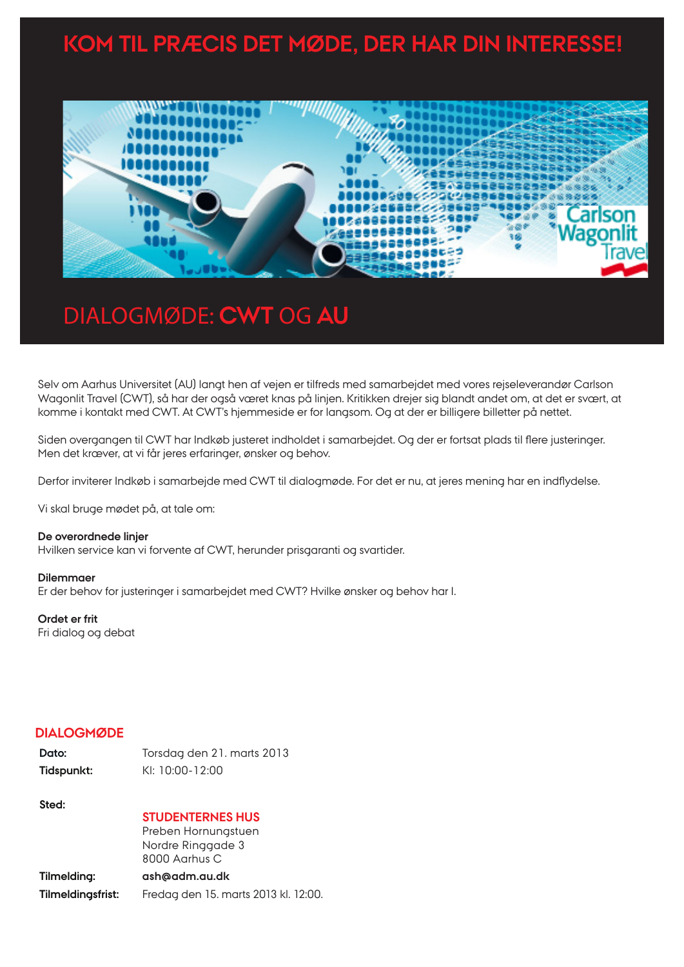# **KOM TIL PRÆCIS DET MØDE, DER HAR DIN INTERESSE!**



# DIALOGMØDE: **CWT** OG **AU**

Selv om Aarhus Universitet (AU) langt hen af vejen er tilfreds med samarbejdet med vores rejseleverandør Carlson Wagonlit Travel (CWT), så har der også været knas på linjen. Kritikken drejer sig blandt andet om, at det er svært, at komme i kontakt med CWT. At CWT's hjemmeside er for langsom. Og at der er billigere billetter på nettet.

Siden overgangen til CWT har Indkøb justeret indholdet i samarbejdet. Og der er fortsat plads til flere justeringer. Men det kræver, at vi får jeres erfaringer, ønsker og behov.

Derfor inviterer Indkøb i samarbejde med CWT til dialogmøde. For det er nu, at jeres mening har en indflydelse.

Vi skal bruge mødet på, at tale om:

### **De overordnede linjer**

Hvilken service kan vi forvente af CWT, herunder prisgaranti og svartider.

#### **Dilemmaer**

Er der behov for justeringer i samarbejdet med CWT? Hvilke ønsker og behov har I.

### **Ordet er frit**

Fri dialog og debat

## **DIALOGMØDE**

| Dato:      | Torsdag den 21. marts 2013 |
|------------|----------------------------|
| Tidspunkt: | KI: 10:00-12:00            |

### **Sted:**

### **STUDENTERNES HUS**

Preben Hornungstuen Nordre Ringgade 3 8000 Aarhus C

# **Tilmelding: ash@adm.au.dk Tilmeldingsfrist:** Fredag den 15. marts 2013 kl. 12:00.